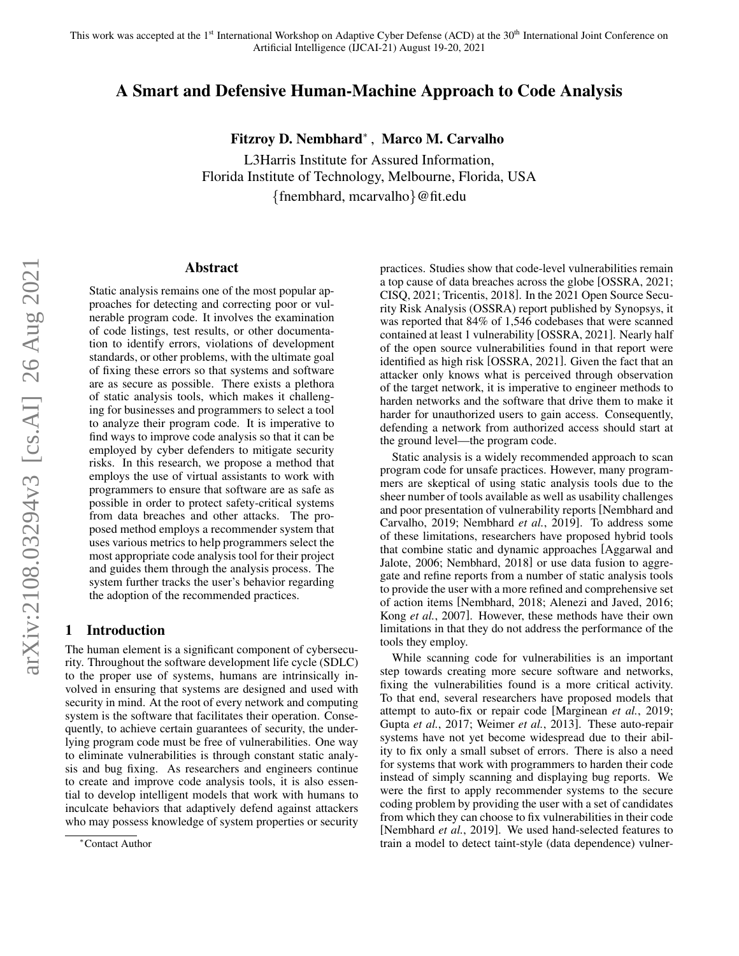## A Smart and Defensive Human-Machine Approach to Code Analysis

Fitzroy D. Nembhard<sup>∗</sup> , Marco M. Carvalho

L3Harris Institute for Assured Information, Florida Institute of Technology, Melbourne, Florida, USA {fnembhard, mcarvalho}@fit.edu

#### Abstract

Static analysis remains one of the most popular approaches for detecting and correcting poor or vulnerable program code. It involves the examination of code listings, test results, or other documentation to identify errors, violations of development standards, or other problems, with the ultimate goal of fixing these errors so that systems and software are as secure as possible. There exists a plethora of static analysis tools, which makes it challenging for businesses and programmers to select a tool to analyze their program code. It is imperative to find ways to improve code analysis so that it can be employed by cyber defenders to mitigate security risks. In this research, we propose a method that employs the use of virtual assistants to work with programmers to ensure that software are as safe as possible in order to protect safety-critical systems from data breaches and other attacks. The proposed method employs a recommender system that uses various metrics to help programmers select the most appropriate code analysis tool for their project and guides them through the analysis process. The system further tracks the user's behavior regarding the adoption of the recommended practices.

#### 1 Introduction

The human element is a significant component of cybersecurity. Throughout the software development life cycle (SDLC) to the proper use of systems, humans are intrinsically involved in ensuring that systems are designed and used with security in mind. At the root of every network and computing system is the software that facilitates their operation. Consequently, to achieve certain guarantees of security, the underlying program code must be free of vulnerabilities. One way to eliminate vulnerabilities is through constant static analysis and bug fixing. As researchers and engineers continue to create and improve code analysis tools, it is also essential to develop intelligent models that work with humans to inculcate behaviors that adaptively defend against attackers who may possess knowledge of system properties or security practices. Studies show that code-level vulnerabilities remain a top cause of data breaches across the globe [\[OSSRA, 2021;](#page-4-0) [CISQ, 2021;](#page-4-1) [Tricentis, 2018\]](#page-4-2). In the 2021 Open Source Security Risk Analysis (OSSRA) report published by Synopsys, it was reported that 84% of 1,546 codebases that were scanned contained at least 1 vulnerability [\[OSSRA, 2021\]](#page-4-0). Nearly half of the open source vulnerabilities found in that report were identified as high risk [\[OSSRA, 2021\]](#page-4-0). Given the fact that an attacker only knows what is perceived through observation of the target network, it is imperative to engineer methods to harden networks and the software that drive them to make it harder for unauthorized users to gain access. Consequently, defending a network from authorized access should start at the ground level—the program code.

Static analysis is a widely recommended approach to scan program code for unsafe practices. However, many programmers are skeptical of using static analysis tools due to the sheer number of tools available as well as usability challenges and poor presentation of vulnerability reports [\[Nembhard and](#page-4-3) [Carvalho, 2019;](#page-4-3) [Nembhard](#page-4-4) *et al.*, 2019]. To address some of these limitations, researchers have proposed hybrid tools that combine static and dynamic approaches [\[Aggarwal and](#page-3-0) [Jalote, 2006;](#page-3-0) [Nembhard, 2018\]](#page-4-5) or use data fusion to aggregate and refine reports from a number of static analysis tools to provide the user with a more refined and comprehensive set of action items [\[Nembhard, 2018;](#page-4-5) [Alenezi and Javed, 2016;](#page-4-6) Kong *et al.*[, 2007\]](#page-4-7). However, these methods have their own limitations in that they do not address the performance of the tools they employ.

While scanning code for vulnerabilities is an important step towards creating more secure software and networks, fixing the vulnerabilities found is a more critical activity. To that end, several researchers have proposed models that attempt to auto-fix or repair code [\[Marginean](#page-4-8) *et al.*, 2019; Gupta *et al.*[, 2017;](#page-4-9) [Weimer](#page-4-10) *et al.*, 2013]. These auto-repair systems have not yet become widespread due to their ability to fix only a small subset of errors. There is also a need for systems that work with programmers to harden their code instead of simply scanning and displaying bug reports. We were the first to apply recommender systems to the secure coding problem by providing the user with a set of candidates from which they can choose to fix vulnerabilities in their code [\[Nembhard](#page-4-4) *et al.*, 2019]. We used hand-selected features to train a model to detect taint-style (data dependence) vulner-

<sup>∗</sup>Contact Author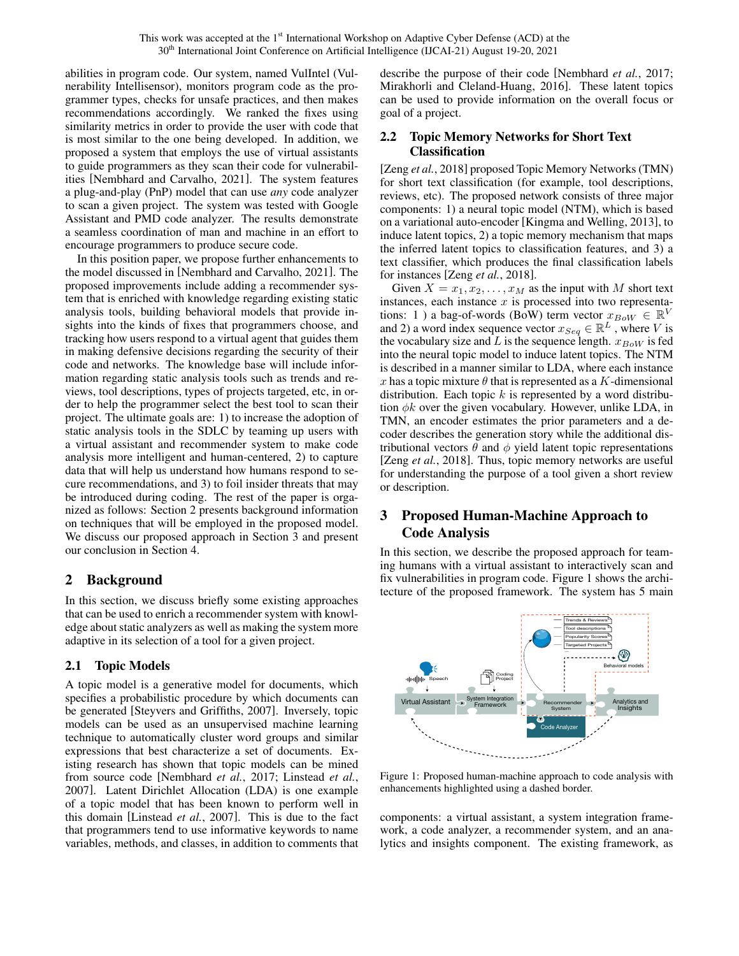abilities in program code. Our system, named VulIntel (Vulnerability Intellisensor), monitors program code as the programmer types, checks for unsafe practices, and then makes recommendations accordingly. We ranked the fixes using similarity metrics in order to provide the user with code that is most similar to the one being developed. In addition, we proposed a system that employs the use of virtual assistants to guide programmers as they scan their code for vulnerabilities [\[Nembhard and Carvalho, 2021\]](#page-4-11). The system features a plug-and-play (PnP) model that can use *any* code analyzer to scan a given project. The system was tested with Google Assistant and PMD code analyzer. The results demonstrate a seamless coordination of man and machine in an effort to encourage programmers to produce secure code.

In this position paper, we propose further enhancements to the model discussed in [\[Nembhard and Carvalho, 2021\]](#page-4-11). The proposed improvements include adding a recommender system that is enriched with knowledge regarding existing static analysis tools, building behavioral models that provide insights into the kinds of fixes that programmers choose, and tracking how users respond to a virtual agent that guides them in making defensive decisions regarding the security of their code and networks. The knowledge base will include information regarding static analysis tools such as trends and reviews, tool descriptions, types of projects targeted, etc, in order to help the programmer select the best tool to scan their project. The ultimate goals are: 1) to increase the adoption of static analysis tools in the SDLC by teaming up users with a virtual assistant and recommender system to make code analysis more intelligent and human-centered, 2) to capture data that will help us understand how humans respond to secure recommendations, and 3) to foil insider threats that may be introduced during coding. The rest of the paper is organized as follows: Section [2](#page-1-0) presents background information on techniques that will be employed in the proposed model. We discuss our proposed approach in Section [3](#page-1-1) and present our conclusion in Section [4.](#page-3-1)

# <span id="page-1-0"></span>2 Background

In this section, we discuss briefly some existing approaches that can be used to enrich a recommender system with knowledge about static analyzers as well as making the system more adaptive in its selection of a tool for a given project.

### 2.1 Topic Models

A topic model is a generative model for documents, which specifies a probabilistic procedure by which documents can be generated [\[Steyvers and Griffiths, 2007\]](#page-4-12). Inversely, topic models can be used as an unsupervised machine learning technique to automatically cluster word groups and similar expressions that best characterize a set of documents. Existing research has shown that topic models can be mined from source code [\[Nembhard](#page-4-13) *et al.*, 2017; [Linstead](#page-4-14) *et al.*, [2007\]](#page-4-14). Latent Dirichlet Allocation (LDA) is one example of a topic model that has been known to perform well in this domain [\[Linstead](#page-4-14) *et al.*, 2007]. This is due to the fact that programmers tend to use informative keywords to name variables, methods, and classes, in addition to comments that describe the purpose of their code [\[Nembhard](#page-4-13) *et al.*, 2017; [Mirakhorli and Cleland-Huang, 2016\]](#page-4-15). These latent topics can be used to provide information on the overall focus or goal of a project.

### 2.2 Topic Memory Networks for Short Text Classification

[Zeng *et al.*[, 2018\]](#page-4-16) proposed Topic Memory Networks (TMN) for short text classification (for example, tool descriptions, reviews, etc). The proposed network consists of three major components: 1) a neural topic model (NTM), which is based on a variational auto-encoder [\[Kingma and Welling, 2013\]](#page-4-17), to induce latent topics, 2) a topic memory mechanism that maps the inferred latent topics to classification features, and 3) a text classifier, which produces the final classification labels for instances [Zeng *et al.*[, 2018\]](#page-4-16).

Given  $X = x_1, x_2, \ldots, x_M$  as the input with M short text instances, each instance  $x$  is processed into two representations: 1) a bag-of-words (BoW) term vector  $x_{BoW} \in \mathbb{R}^V$ and 2) a word index sequence vector  $x_{Seq} \in \mathbb{R}^L$ , where V is the vocabulary size and L is the sequence length.  $x_{BoW}$  is fed into the neural topic model to induce latent topics. The NTM is described in a manner similar to LDA, where each instance x has a topic mixture  $\theta$  that is represented as a K-dimensional distribution. Each topic  $k$  is represented by a word distribution  $\phi k$  over the given vocabulary. However, unlike LDA, in TMN, an encoder estimates the prior parameters and a decoder describes the generation story while the additional distributional vectors  $\theta$  and  $\phi$  yield latent topic representations [Zeng *et al.*[, 2018\]](#page-4-16). Thus, topic memory networks are useful for understanding the purpose of a tool given a short review or description.

# <span id="page-1-1"></span>3 Proposed Human-Machine Approach to Code Analysis

In this section, we describe the proposed approach for teaming humans with a virtual assistant to interactively scan and fix vulnerabilities in program code. Figure [1](#page-1-2) shows the architecture of the proposed framework. The system has 5 main

<span id="page-1-2"></span>

Figure 1: Proposed human-machine approach to code analysis with enhancements highlighted using a dashed border.

components: a virtual assistant, a system integration framework, a code analyzer, a recommender system, and an analytics and insights component. The existing framework, as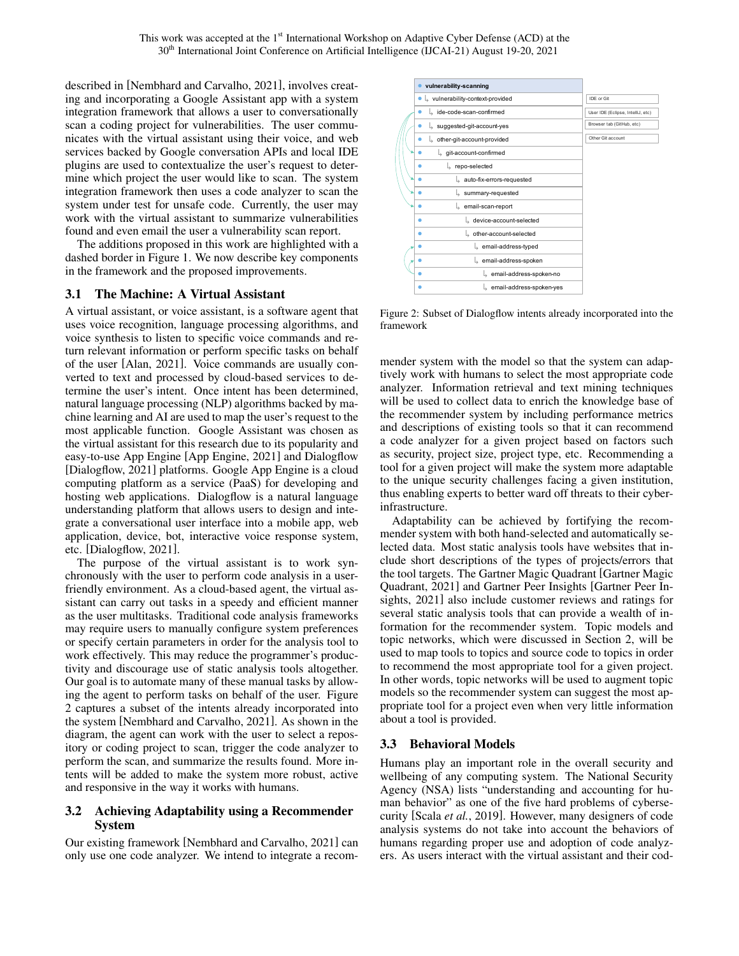described in [\[Nembhard and Carvalho, 2021\]](#page-4-11), involves creating and incorporating a Google Assistant app with a system integration framework that allows a user to conversationally scan a coding project for vulnerabilities. The user communicates with the virtual assistant using their voice, and web services backed by Google conversation APIs and local IDE plugins are used to contextualize the user's request to determine which project the user would like to scan. The system integration framework then uses a code analyzer to scan the system under test for unsafe code. Currently, the user may work with the virtual assistant to summarize vulnerabilities found and even email the user a vulnerability scan report.

The additions proposed in this work are highlighted with a dashed border in Figure [1.](#page-1-2) We now describe key components in the framework and the proposed improvements.

### 3.1 The Machine: A Virtual Assistant

A virtual assistant, or voice assistant, is a software agent that uses voice recognition, language processing algorithms, and voice synthesis to listen to specific voice commands and return relevant information or perform specific tasks on behalf of the user [\[Alan, 2021\]](#page-3-2). Voice commands are usually converted to text and processed by cloud-based services to determine the user's intent. Once intent has been determined, natural language processing (NLP) algorithms backed by machine learning and AI are used to map the user's request to the most applicable function. Google Assistant was chosen as the virtual assistant for this research due to its popularity and easy-to-use App Engine [\[App Engine, 2021\]](#page-4-18) and Dialogflow [\[Dialogflow, 2021\]](#page-4-19) platforms. Google App Engine is a cloud computing platform as a service (PaaS) for developing and hosting web applications. Dialogflow is a natural language understanding platform that allows users to design and integrate a conversational user interface into a mobile app, web application, device, bot, interactive voice response system, etc. [\[Dialogflow, 2021\]](#page-4-19).

The purpose of the virtual assistant is to work synchronously with the user to perform code analysis in a userfriendly environment. As a cloud-based agent, the virtual assistant can carry out tasks in a speedy and efficient manner as the user multitasks. Traditional code analysis frameworks may require users to manually configure system preferences or specify certain parameters in order for the analysis tool to work effectively. This may reduce the programmer's productivity and discourage use of static analysis tools altogether. Our goal is to automate many of these manual tasks by allowing the agent to perform tasks on behalf of the user. Figure [2](#page-2-0) captures a subset of the intents already incorporated into the system [\[Nembhard and Carvalho, 2021\]](#page-4-11). As shown in the diagram, the agent can work with the user to select a repository or coding project to scan, trigger the code analyzer to perform the scan, and summarize the results found. More intents will be added to make the system more robust, active and responsive in the way it works with humans.

### 3.2 Achieving Adaptability using a Recommender System

Our existing framework [\[Nembhard and Carvalho, 2021\]](#page-4-11) can only use one code analyzer. We intend to integrate a recom-

<span id="page-2-0"></span>

Figure 2: Subset of Dialogflow intents already incorporated into the framework

mender system with the model so that the system can adaptively work with humans to select the most appropriate code analyzer. Information retrieval and text mining techniques will be used to collect data to enrich the knowledge base of the recommender system by including performance metrics and descriptions of existing tools so that it can recommend a code analyzer for a given project based on factors such as security, project size, project type, etc. Recommending a tool for a given project will make the system more adaptable to the unique security challenges facing a given institution, thus enabling experts to better ward off threats to their cyberinfrastructure.

Adaptability can be achieved by fortifying the recommender system with both hand-selected and automatically selected data. Most static analysis tools have websites that include short descriptions of the types of projects/errors that the tool targets. The Gartner Magic Quadrant [\[Gartner Magic](#page-4-20) [Quadrant, 2021\]](#page-4-20) and Gartner Peer Insights [\[Gartner Peer In](#page-4-21)[sights, 2021\]](#page-4-21) also include customer reviews and ratings for several static analysis tools that can provide a wealth of information for the recommender system. Topic models and topic networks, which were discussed in Section [2,](#page-1-0) will be used to map tools to topics and source code to topics in order to recommend the most appropriate tool for a given project. In other words, topic networks will be used to augment topic models so the recommender system can suggest the most appropriate tool for a project even when very little information about a tool is provided.

### 3.3 Behavioral Models

Humans play an important role in the overall security and wellbeing of any computing system. The National Security Agency (NSA) lists "understanding and accounting for human behavior" as one of the five hard problems of cybersecurity [Scala *et al.*[, 2019\]](#page-4-22). However, many designers of code analysis systems do not take into account the behaviors of humans regarding proper use and adoption of code analyzers. As users interact with the virtual assistant and their cod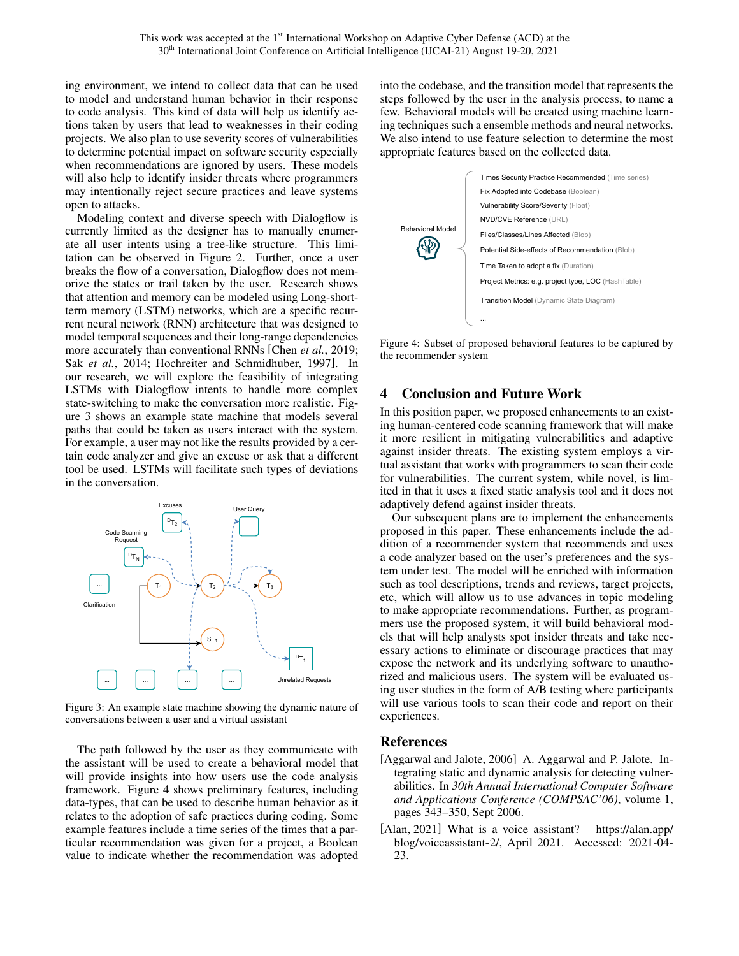ing environment, we intend to collect data that can be used to model and understand human behavior in their response to code analysis. This kind of data will help us identify actions taken by users that lead to weaknesses in their coding projects. We also plan to use severity scores of vulnerabilities to determine potential impact on software security especially when recommendations are ignored by users. These models will also help to identify insider threats where programmers may intentionally reject secure practices and leave systems open to attacks.

Modeling context and diverse speech with Dialogflow is currently limited as the designer has to manually enumerate all user intents using a tree-like structure. This limitation can be observed in Figure [2.](#page-2-0) Further, once a user breaks the flow of a conversation, Dialogflow does not memorize the states or trail taken by the user. Research shows that attention and memory can be modeled using Long-shortterm memory (LSTM) networks, which are a specific recurrent neural network (RNN) architecture that was designed to model temporal sequences and their long-range dependencies more accurately than conventional RNNs [Chen *et al.*[, 2019;](#page-4-23) Sak *et al.*[, 2014;](#page-4-24) [Hochreiter and Schmidhuber, 1997\]](#page-4-25). In our research, we will explore the feasibility of integrating LSTMs with Dialogflow intents to handle more complex state-switching to make the conversation more realistic. Figure [3](#page-3-3) shows an example state machine that models several paths that could be taken as users interact with the system. For example, a user may not like the results provided by a certain code analyzer and give an excuse or ask that a different tool be used. LSTMs will facilitate such types of deviations in the conversation.

<span id="page-3-3"></span>

Figure 3: An example state machine showing the dynamic nature of conversations between a user and a virtual assistant

The path followed by the user as they communicate with the assistant will be used to create a behavioral model that will provide insights into how users use the code analysis framework. Figure [4](#page-3-4) shows preliminary features, including data-types, that can be used to describe human behavior as it relates to the adoption of safe practices during coding. Some example features include a time series of the times that a particular recommendation was given for a project, a Boolean value to indicate whether the recommendation was adopted into the codebase, and the transition model that represents the steps followed by the user in the analysis process, to name a few. Behavioral models will be created using machine learning techniques such a ensemble methods and neural networks. We also intend to use feature selection to determine the most appropriate features based on the collected data.

<span id="page-3-4"></span>

Figure 4: Subset of proposed behavioral features to be captured by the recommender system

### <span id="page-3-1"></span>4 Conclusion and Future Work

In this position paper, we proposed enhancements to an existing human-centered code scanning framework that will make it more resilient in mitigating vulnerabilities and adaptive against insider threats. The existing system employs a virtual assistant that works with programmers to scan their code for vulnerabilities. The current system, while novel, is limited in that it uses a fixed static analysis tool and it does not adaptively defend against insider threats.

Our subsequent plans are to implement the enhancements proposed in this paper. These enhancements include the addition of a recommender system that recommends and uses a code analyzer based on the user's preferences and the system under test. The model will be enriched with information such as tool descriptions, trends and reviews, target projects, etc, which will allow us to use advances in topic modeling to make appropriate recommendations. Further, as programmers use the proposed system, it will build behavioral models that will help analysts spot insider threats and take necessary actions to eliminate or discourage practices that may expose the network and its underlying software to unauthorized and malicious users. The system will be evaluated using user studies in the form of A/B testing where participants will use various tools to scan their code and report on their experiences.

#### References

- <span id="page-3-0"></span>[Aggarwal and Jalote, 2006] A. Aggarwal and P. Jalote. Integrating static and dynamic analysis for detecting vulnerabilities. In *30th Annual International Computer Software and Applications Conference (COMPSAC'06)*, volume 1, pages 343–350, Sept 2006.
- <span id="page-3-2"></span>[Alan, 2021] What is a voice assistant? [https://alan.app/](https://alan.app/blog/voiceassistant-2/) [blog/voiceassistant-2/,](https://alan.app/blog/voiceassistant-2/) April 2021. Accessed: 2021-04- 23.